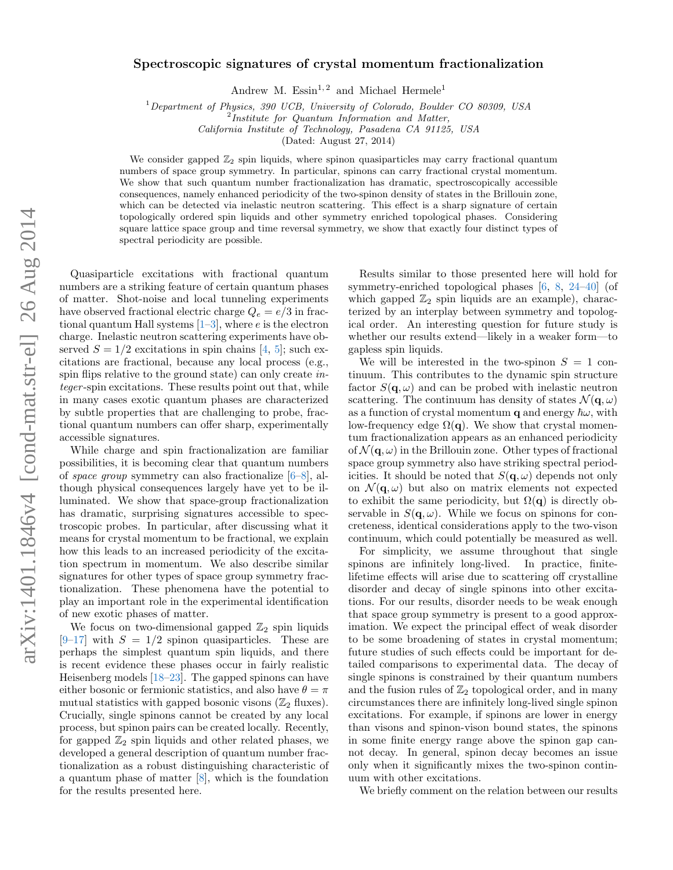# Spectroscopic signatures of crystal momentum fractionalization

Andrew M.  $Essin^{1,2}$  and Michael Hermele<sup>1</sup>

<sup>1</sup>Department of Physics, 390 UCB, University of Colorado, Boulder CO 80309, USA

<sup>2</sup>Institute for Quantum Information and Matter,

California Institute of Technology, Pasadena CA 91125, USA

(Dated: August 27, 2014)

We consider gapped  $\mathbb{Z}_2$  spin liquids, where spinon quasiparticles may carry fractional quantum numbers of space group symmetry. In particular, spinons can carry fractional crystal momentum. We show that such quantum number fractionalization has dramatic, spectroscopically accessible consequences, namely enhanced periodicity of the two-spinon density of states in the Brillouin zone, which can be detected via inelastic neutron scattering. This effect is a sharp signature of certain topologically ordered spin liquids and other symmetry enriched topological phases. Considering square lattice space group and time reversal symmetry, we show that exactly four distinct types of spectral periodicity are possible.

Quasiparticle excitations with fractional quantum numbers are a striking feature of certain quantum phases of matter. Shot-noise and local tunneling experiments have observed fractional electric charge  $Q_e = e/3$  in fractional quantum Hall systems  $[1-3]$  $[1-3]$ , where e is the electron charge. Inelastic neutron scattering experiments have observed  $S = 1/2$  excitations in spin chains [\[4,](#page-4-2) [5\]](#page-4-3); such excitations are fractional, because any local process (e.g., spin flips relative to the ground state) can only create integer -spin excitations. These results point out that, while in many cases exotic quantum phases are characterized by subtle properties that are challenging to probe, fractional quantum numbers can offer sharp, experimentally accessible signatures.

While charge and spin fractionalization are familiar possibilities, it is becoming clear that quantum numbers of space group symmetry can also fractionalize [\[6–](#page-4-4)[8\]](#page-4-5), although physical consequences largely have yet to be illuminated. We show that space-group fractionalization has dramatic, surprising signatures accessible to spectroscopic probes. In particular, after discussing what it means for crystal momentum to be fractional, we explain how this leads to an increased periodicity of the excitation spectrum in momentum. We also describe similar signatures for other types of space group symmetry fractionalization. These phenomena have the potential to play an important role in the experimental identification of new exotic phases of matter.

We focus on two-dimensional gapped  $\mathbb{Z}_2$  spin liquids  $[9-17]$  $[9-17]$  with  $S = 1/2$  spinon quasiparticles. These are perhaps the simplest quantum spin liquids, and there is recent evidence these phases occur in fairly realistic Heisenberg models [\[18](#page-4-8)[–23\]](#page-4-9). The gapped spinons can have either bosonic or fermionic statistics, and also have  $\theta = \pi$ mutual statistics with gapped bosonic visons  $(\mathbb{Z}_2$  fluxes). Crucially, single spinons cannot be created by any local process, but spinon pairs can be created locally. Recently, for gapped  $\mathbb{Z}_2$  spin liquids and other related phases, we developed a general description of quantum number fractionalization as a robust distinguishing characteristic of a quantum phase of matter [\[8\]](#page-4-5), which is the foundation for the results presented here.

Results similar to those presented here will hold for symmetry-enriched topological phases [\[6,](#page-4-4) [8,](#page-4-5) [24–](#page-4-10)[40\]](#page-4-11) (of which gapped  $\mathbb{Z}_2$  spin liquids are an example), characterized by an interplay between symmetry and topological order. An interesting question for future study is whether our results extend—likely in a weaker form—to gapless spin liquids.

We will be interested in the two-spinon  $S = 1$  continuum. This contributes to the dynamic spin structure factor  $S(\mathbf{q}, \omega)$  and can be probed with inelastic neutron scattering. The continuum has density of states  $\mathcal{N}(\mathbf{q}, \omega)$ as a function of crystal momentum q and energy  $\hbar\omega$ , with low-frequency edge  $\Omega(q)$ . We show that crystal momentum fractionalization appears as an enhanced periodicity of  $\mathcal{N}(\mathbf{q}, \omega)$  in the Brillouin zone. Other types of fractional space group symmetry also have striking spectral periodicities. It should be noted that  $S(\mathbf{q}, \omega)$  depends not only on  $\mathcal{N}(\mathbf{q},\omega)$  but also on matrix elements not expected to exhibit the same periodicity, but  $\Omega(q)$  is directly observable in  $S(\mathbf{q}, \omega)$ . While we focus on spinons for concreteness, identical considerations apply to the two-vison continuum, which could potentially be measured as well.

For simplicity, we assume throughout that single spinons are infinitely long-lived. In practice, finitelifetime effects will arise due to scattering off crystalline disorder and decay of single spinons into other excitations. For our results, disorder needs to be weak enough that space group symmetry is present to a good approximation. We expect the principal effect of weak disorder to be some broadening of states in crystal momentum; future studies of such effects could be important for detailed comparisons to experimental data. The decay of single spinons is constrained by their quantum numbers and the fusion rules of  $\mathbb{Z}_2$  topological order, and in many circumstances there are infinitely long-lived single spinon excitations. For example, if spinons are lower in energy than visons and spinon-vison bound states, the spinons in some finite energy range above the spinon gap cannot decay. In general, spinon decay becomes an issue only when it significantly mixes the two-spinon continuum with other excitations.

We briefly comment on the relation between our results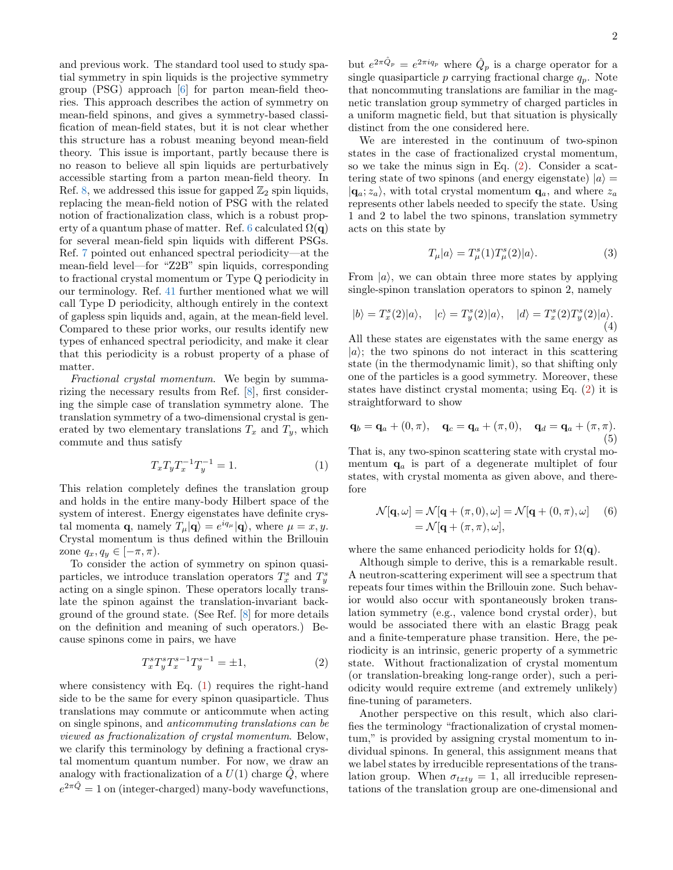and previous work. The standard tool used to study spatial symmetry in spin liquids is the projective symmetry group (PSG) approach [\[6\]](#page-4-4) for parton mean-field theories. This approach describes the action of symmetry on mean-field spinons, and gives a symmetry-based classification of mean-field states, but it is not clear whether this structure has a robust meaning beyond mean-field theory. This issue is important, partly because there is no reason to believe all spin liquids are perturbatively accessible starting from a parton mean-field theory. In Ref. [8,](#page-4-5) we addressed this issue for gapped  $\mathbb{Z}_2$  spin liquids, replacing the mean-field notion of PSG with the related notion of fractionalization class, which is a robust prop-erty of a quantum phase of matter. Ref. [6](#page-4-4) calculated  $\Omega(q)$ for several mean-field spin liquids with different PSGs. Ref. [7](#page-4-12) pointed out enhanced spectral periodicity—at the mean-field level—for "Z2B" spin liquids, corresponding to fractional crystal momentum or Type Q periodicity in our terminology. Ref. [41](#page-4-13) further mentioned what we will call Type D periodicity, although entirely in the context of gapless spin liquids and, again, at the mean-field level. Compared to these prior works, our results identify new types of enhanced spectral periodicity, and make it clear that this periodicity is a robust property of a phase of matter.

Fractional crystal momentum. We begin by summarizing the necessary results from Ref. [\[8\]](#page-4-5), first considering the simple case of translation symmetry alone. The translation symmetry of a two-dimensional crystal is generated by two elementary translations  $T_x$  and  $T_y$ , which commute and thus satisfy

<span id="page-1-0"></span>
$$
T_x T_y T_x^{-1} T_y^{-1} = 1.
$$
 (1)

This relation completely defines the translation group and holds in the entire many-body Hilbert space of the system of interest. Energy eigenstates have definite crystal momenta **q**, namely  $T_{\mu}|\mathbf{q}\rangle = e^{iq_{\mu}}|\mathbf{q}\rangle$ , where  $\mu = x, y$ . Crystal momentum is thus defined within the Brillouin zone  $q_x, q_y \in [-\pi, \pi)$ .

To consider the action of symmetry on spinon quasiparticles, we introduce translation operators  $T_x^s$  and  $T_y^s$ acting on a single spinon. These operators locally translate the spinon against the translation-invariant background of the ground state. (See Ref. [\[8\]](#page-4-5) for more details on the definition and meaning of such operators.) Because spinons come in pairs, we have

<span id="page-1-1"></span>
$$
T_x^s T_y^s T_x^{s-1} T_y^{s-1} = \pm 1,\t\t(2)
$$

where consistency with Eq.  $(1)$  requires the right-hand side to be the same for every spinon quasiparticle. Thus translations may commute or anticommute when acting on single spinons, and anticommuting translations can be viewed as fractionalization of crystal momentum. Below, we clarify this terminology by defining a fractional crystal momentum quantum number. For now, we draw an analogy with fractionalization of a  $U(1)$  charge  $\ddot{Q}$ , where  $e^{2\pi \hat{Q}} = 1$  on (integer-charged) many-body wavefunctions,

but  $e^{2\pi \hat{Q}_p} = e^{2\pi i q_p}$  where  $\hat{Q}_p$  is a charge operator for a single quasiparticle  $p$  carrying fractional charge  $q_p$ . Note that noncommuting translations are familiar in the magnetic translation group symmetry of charged particles in a uniform magnetic field, but that situation is physically distinct from the one considered here.

We are interested in the continuum of two-spinon states in the case of fractionalized crystal momentum, so we take the minus sign in Eq. [\(2\)](#page-1-1). Consider a scattering state of two spinons (and energy eigenstate)  $|a\rangle =$  $|{\bf q}_a; z_a\rangle$ , with total crystal momentum  ${\bf q}_a$ , and where  $z_a$ represents other labels needed to specify the state. Using 1 and 2 to label the two spinons, translation symmetry acts on this state by

$$
T_{\mu}|a\rangle = T_{\mu}^{s}(1)T_{\mu}^{s}(2)|a\rangle.
$$
 (3)

From  $|a\rangle$ , we can obtain three more states by applying single-spinon translation operators to spinon 2, namely

$$
|b\rangle = T_x^s(2)|a\rangle, \quad |c\rangle = T_y^s(2)|a\rangle, \quad |d\rangle = T_x^s(2)T_y^s(2)|a\rangle.
$$
\n(4)

All these states are eigenstates with the same energy as  $|a\rangle$ ; the two spinons do not interact in this scattering state (in the thermodynamic limit), so that shifting only one of the particles is a good symmetry. Moreover, these states have distinct crystal momenta; using Eq. [\(2\)](#page-1-1) it is straightforward to show

$$
\mathbf{q}_b = \mathbf{q}_a + (0, \pi), \quad \mathbf{q}_c = \mathbf{q}_a + (\pi, 0), \quad \mathbf{q}_d = \mathbf{q}_a + (\pi, \pi).
$$
\n(5)

That is, any two-spinon scattering state with crystal momentum  $\mathbf{q}_a$  is part of a degenerate multiplet of four states, with crystal momenta as given above, and therefore

<span id="page-1-2"></span>
$$
\mathcal{N}[\mathbf{q},\omega] = \mathcal{N}[\mathbf{q} + (\pi,0),\omega] = \mathcal{N}[\mathbf{q} + (0,\pi),\omega] \quad (6)
$$

$$
= \mathcal{N}[\mathbf{q} + (\pi,\pi),\omega],
$$

where the same enhanced periodicity holds for  $\Omega(\mathbf{q})$ .

Although simple to derive, this is a remarkable result. A neutron-scattering experiment will see a spectrum that repeats four times within the Brillouin zone. Such behavior would also occur with spontaneously broken translation symmetry (e.g., valence bond crystal order), but would be associated there with an elastic Bragg peak and a finite-temperature phase transition. Here, the periodicity is an intrinsic, generic property of a symmetric state. Without fractionalization of crystal momentum (or translation-breaking long-range order), such a periodicity would require extreme (and extremely unlikely) fine-tuning of parameters.

Another perspective on this result, which also clarifies the terminology "fractionalization of crystal momentum," is provided by assigning crystal momentum to individual spinons. In general, this assignment means that we label states by irreducible representations of the translation group. When  $\sigma_{txty} = 1$ , all irreducible representations of the translation group are one-dimensional and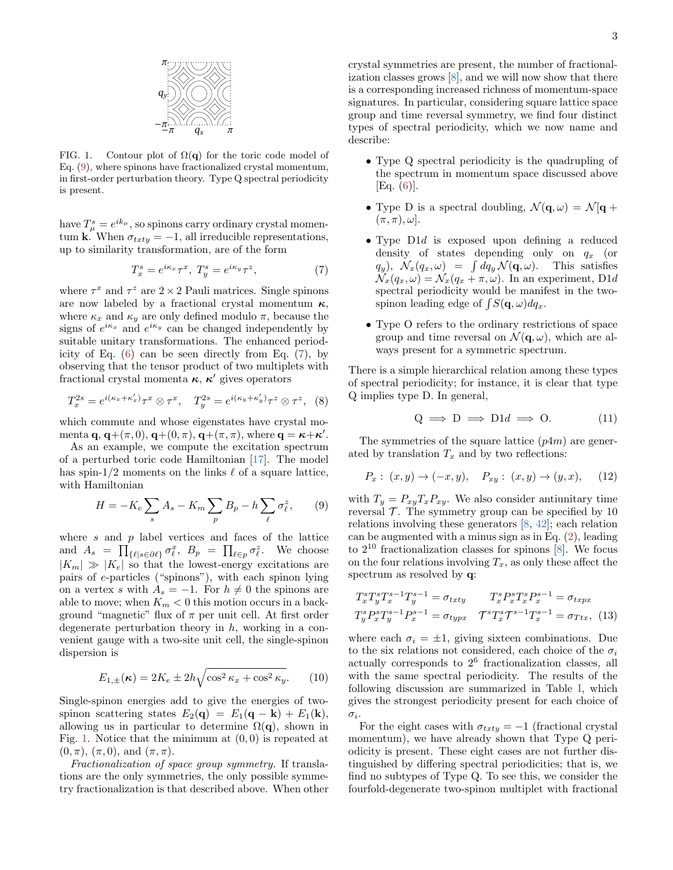

<span id="page-2-2"></span>FIG. 1. Contour plot of  $\Omega(q)$  for the toric code model of Eq. [\(9\)](#page-2-0), where spinons have fractionalized crystal momentum, in first-order perturbation theory. Type Q spectral periodicity is present.

have  $T_{\mu}^{s} = e^{ik_{\mu}}$ , so spinons carry ordinary crystal momentum  $\mathbf{k}$ . When  $\sigma_{txty} = -1$ , all irreducible representations, up to similarity transformation, are of the form

<span id="page-2-1"></span>
$$
T_x^s = e^{i\kappa_x} \tau^x, \ T_y^s = e^{i\kappa_y} \tau^z,
$$
 (7)

where  $\tau^x$  and  $\tau^z$  are  $2 \times 2$  Pauli matrices. Single spinons are now labeled by a fractional crystal momentum  $\kappa$ , where  $\kappa_x$  and  $\kappa_y$  are only defined modulo  $\pi$ , because the signs of  $e^{i\kappa_x}$  and  $e^{i\kappa_y}$  can be changed independently by suitable unitary transformations. The enhanced periodicity of Eq.  $(6)$  can be seen directly from Eq.  $(7)$ , by observing that the tensor product of two multiplets with fractional crystal momenta  $\kappa$ ,  $\kappa'$  gives operators

$$
T_x^{2s} = e^{i(\kappa_x + \kappa'_x)} \tau^x \otimes \tau^x, \quad T_y^{2s} = e^{i(\kappa_y + \kappa'_y)} \tau^z \otimes \tau^z, \quad (8)
$$

which commute and whose eigenstates have crystal momenta  $\mathbf{q}, \mathbf{q}+(\pi, 0), \mathbf{q}+(0, \pi), \mathbf{q}+(\pi, \pi),$  where  $\mathbf{q} = \boldsymbol{\kappa} + \boldsymbol{\kappa}'$ .

As an example, we compute the excitation spectrum of a perturbed toric code Hamiltonian [\[17\]](#page-4-7). The model has spin-1/2 moments on the links  $\ell$  of a square lattice, with Hamiltonian

<span id="page-2-0"></span>
$$
H = -K_e \sum_s A_s - K_m \sum_p B_p - h \sum_{\ell} \sigma_{\ell}^z, \qquad (9)
$$

where  $s$  and  $p$  label vertices and faces of the lattice and  $A_s = \prod_{\{\ell | s \in \partial \ell\}} \sigma_{\ell}^x$ ,  $B_p = \prod_{\ell \in p} \sigma_{\ell}^z$ . We choose  $|K_m| \gg |K_e|$  so that the lowest-energy excitations are pairs of e-particles ("spinons"), with each spinon lying on a vertex s with  $A_s = -1$ . For  $h \neq 0$  the spinons are able to move; when  $K_m < 0$  this motion occurs in a background "magnetic" flux of  $\pi$  per unit cell. At first order degenerate perturbation theory in  $h$ , working in a convenient gauge with a two-site unit cell, the single-spinon dispersion is

$$
E_{1,\pm}(\kappa) = 2K_e \pm 2h\sqrt{\cos^2 \kappa_x + \cos^2 \kappa_y}.\tag{10}
$$

Single-spinon energies add to give the energies of twospinon scattering states  $E_2(\mathbf{q}) = E_1(\mathbf{q} - \mathbf{k}) + E_1(\mathbf{k}),$ allowing us in particular to determine  $\Omega(\mathbf{q})$ , shown in Fig. [1.](#page-2-2) Notice that the minimum at  $(0, 0)$  is repeated at  $(0, \pi)$ ,  $(\pi, 0)$ , and  $(\pi, \pi)$ .

Fractionalization of space group symmetry. If translations are the only symmetries, the only possible symmetry fractionalization is that described above. When other crystal symmetries are present, the number of fractionalization classes grows [\[8\]](#page-4-5), and we will now show that there is a corresponding increased richness of momentum-space signatures. In particular, considering square lattice space group and time reversal symmetry, we find four distinct types of spectral periodicity, which we now name and describe:

- Type Q spectral periodicity is the quadrupling of the spectrum in momentum space discussed above  $[Eq. (6)].$  $[Eq. (6)].$  $[Eq. (6)].$
- Type D is a spectral doubling,  $\mathcal{N}(\mathbf{q}, \omega) = \mathcal{N}[\mathbf{q}] +$  $(\pi, \pi)$ ,  $\omega$ .
- Type D1d is exposed upon defining a reduced density of states depending only on  $q_x$  (or  $q_y$ ),  $\mathcal{N}_x(q_x,\omega) = \int dq_y \mathcal{N}(\mathbf{q},\omega)$ . This satisfies  $\mathcal{N}_x(q_x,\omega) = \mathcal{N}_x(q_x + \pi,\omega)$ . In an experiment, D1d spectral periodicity would be manifest in the twospinon leading edge of  $\int S(\mathbf{q}, \omega) dq_x$ .
- Type O refers to the ordinary restrictions of space group and time reversal on  $\mathcal{N}(\mathbf{q}, \omega)$ , which are always present for a symmetric spectrum.

There is a simple hierarchical relation among these types of spectral periodicity; for instance, it is clear that type Q implies type D. In general,

$$
Q \implies D \implies D1d \implies O. \tag{11}
$$

The symmetries of the square lattice  $(p4m)$  are generated by translation  $T_x$  and by two reflections:

$$
P_x: (x, y) \to (-x, y), \quad P_{xy}: (x, y) \to (y, x), \quad (12)
$$

with  $T_y = P_{xy}T_xP_{xy}$ . We also consider antiunitary time reversal  $\mathcal T$ . The symmetry group can be specified by 10 relations involving these generators [\[8,](#page-4-5) [42\]](#page-4-14); each relation can be augmented with a minus sign as in Eq. [\(2\)](#page-1-1), leading to  $2^{10}$  fractionalization classes for spinons  $[8]$ . We focus on the four relations involving  $T_x$ , as only these affect the spectrum as resolved by q:

$$
T_x^s T_y^s T_x^{s-1} T_y^{s-1} = \sigma_{txty} \qquad T_x^s P_x^s T_x^s P_x^{s-1} = \sigma_{txpx}
$$
  

$$
T_y^s P_x^s T_y^{s-1} P_x^{s-1} = \sigma_{typx} \qquad T_s^s T_x^s T_x^{s-1} T_x^{s-1} = \sigma_{Ttx}, \tag{13}
$$

where each  $\sigma_i = \pm 1$ , giving sixteen combinations. Due to the six relations not considered, each choice of the  $\sigma_i$ actually corresponds to 2<sup>6</sup> fractionalization classes, all with the same spectral periodicity. The results of the following discussion are summarized in Table [I,](#page-3-0) which gives the strongest periodicity present for each choice of  $\sigma_i$ .

For the eight cases with  $\sigma_{txty} = -1$  (fractional crystal momentum), we have already shown that Type Q periodicity is present. These eight cases are not further distinguished by differing spectral periodicities; that is, we find no subtypes of Type Q. To see this, we consider the fourfold-degenerate two-spinon multiplet with fractional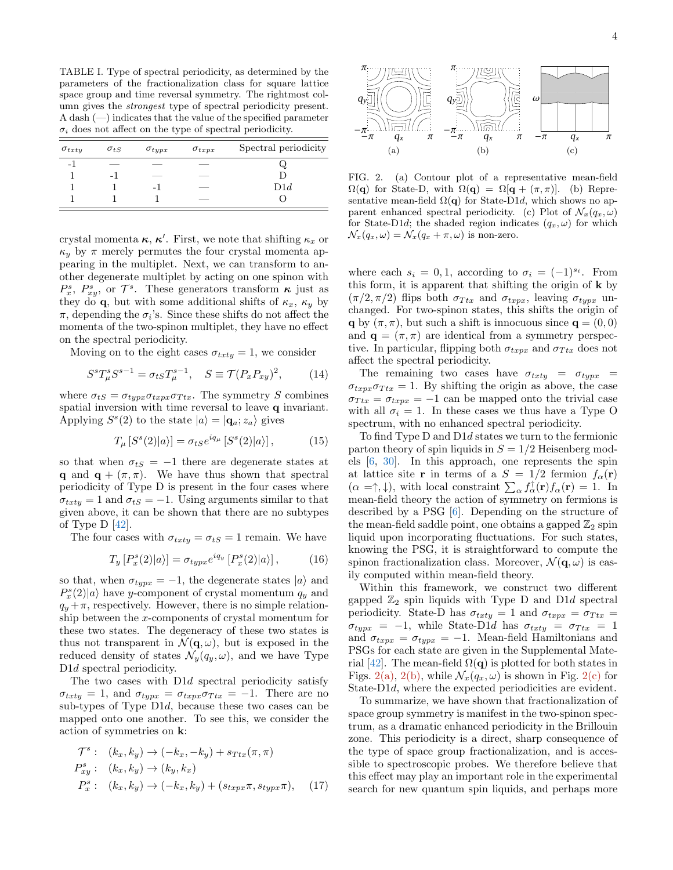<span id="page-3-0"></span>TABLE I. Type of spectral periodicity, as determined by the parameters of the fractionalization class for square lattice space group and time reversal symmetry. The rightmost column gives the strongest type of spectral periodicity present. A dash  $(-)$  indicates that the value of the specified parameter  $\sigma_i$  does not affect on the type of spectral periodicity.

| $\sigma_{txty}$          | $\sigma_{tS}$            | $\sigma_{tupx}$ | $\sigma_{txpx}$ | Spectral periodicity |
|--------------------------|--------------------------|-----------------|-----------------|----------------------|
| $\overline{\phantom{a}}$ |                          |                 | ___             |                      |
|                          | $\overline{\phantom{0}}$ |                 |                 |                      |
|                          |                          | - 1             | ___             | D1d                  |
|                          |                          |                 | ___             |                      |

crystal momenta  $\kappa$ ,  $\kappa'$ . First, we note that shifting  $\kappa_x$  or  $\kappa_y$  by  $\pi$  merely permutes the four crystal momenta appearing in the multiplet. Next, we can transform to another degenerate multiplet by acting on one spinon with  $P_x^s$ ,  $P_{xy}^s$ , or  $\mathcal{T}^s$ . These generators transform  $\kappa$  just as they do q, but with some additional shifts of  $\kappa_x$ ,  $\kappa_y$  by  $\pi$ , depending the  $\sigma_i$ 's. Since these shifts do not affect the momenta of the two-spinon multiplet, they have no effect on the spectral periodicity.

Moving on to the eight cases  $\sigma_{txty} = 1$ , we consider

$$
S^{s}T_{\mu}^{s}S^{s-1} = \sigma_{tS}T_{\mu}^{s-1}, \quad S \equiv \mathcal{T}(P_{x}P_{xy})^{2}, \quad (14)
$$

where  $\sigma_{tS} = \sigma_{typx} \sigma_{txpx} \sigma_{Ttx}$ . The symmetry S combines spatial inversion with time reversal to leave q invariant. Applying  $S^{s}(2)$  to the state  $|a\rangle = |\mathbf{q}_{a}; z_{a}\rangle$  gives

$$
T_{\mu}\left[S^{s}(2)|a\rangle\right] = \sigma_{tS}e^{iq_{\mu}}\left[S^{s}(2)|a\rangle\right],\tag{15}
$$

so that when  $\sigma_{tS} = -1$  there are degenerate states at q and  $\mathbf{q} + (\pi, \pi)$ . We have thus shown that spectral periodicity of Type D is present in the four cases where  $\sigma_{txty} = 1$  and  $\sigma_{tS} = -1$ . Using arguments similar to that given above, it can be shown that there are no subtypes of Type  $D$  [\[42\]](#page-4-14).

The four cases with  $\sigma_{txty} = \sigma_{tS} = 1$  remain. We have

$$
T_y[P_x^s(2)|a\rangle] = \sigma_{type}e^{iq_y}[P_x^s(2)|a\rangle],\tag{16}
$$

so that, when  $\sigma_{typx} = -1$ , the degenerate states  $|a\rangle$  and  $P_x^s(2)|a\rangle$  have y-component of crystal momentum  $q_y$  and  $q_y + \pi$ , respectively. However, there is no simple relationship between the x-components of crystal momentum for these two states. The degeneracy of these two states is thus not transparent in  $\mathcal{N}(\mathbf{q},\omega)$ , but is exposed in the reduced density of states  $\mathcal{N}_y(q_y, \omega)$ , and we have Type D<sub>1</sub>d spectral periodicity.

The two cases with D1d spectral periodicity satisfy  $\sigma_{txty} = 1$ , and  $\sigma_{typx} = \sigma_{txpx}\sigma_{Ttx} = -1$ . There are no sub-types of Type D1d, because these two cases can be mapped onto one another. To see this, we consider the action of symmetries on k:

$$
\mathcal{T}^s: (k_x, k_y) \rightarrow (-k_x, -k_y) + s_{Ttx}(\pi, \pi)
$$
  
\n
$$
P_{xy}^s: (k_x, k_y) \rightarrow (k_y, k_x)
$$
  
\n
$$
P_x^s: (k_x, k_y) \rightarrow (-k_x, k_y) + (s_{txpx}\pi, s_{typx}\pi),
$$
 (17)

<span id="page-3-1"></span>

<span id="page-3-3"></span><span id="page-3-2"></span>FIG. 2. (a) Contour plot of a representative mean-field  $\Omega(\mathbf{q})$  for State-D, with  $\Omega(\mathbf{q}) = \Omega[\mathbf{q} + (\pi, \pi)]$ . (b) Representative mean-field  $\Omega(q)$  for State-D1d, which shows no apparent enhanced spectral periodicity. (c) Plot of  $\mathcal{N}_x(q_x, \omega)$ for State-D1d; the shaded region indicates  $(q_x, \omega)$  for which  $\mathcal{N}_x(q_x,\omega) = \mathcal{N}_x(q_x + \pi,\omega)$  is non-zero.

where each  $s_i = 0, 1$ , according to  $\sigma_i = (-1)^{s_i}$ . From this form, it is apparent that shifting the origin of k by  $(\pi/2, \pi/2)$  flips both  $\sigma_{Ttx}$  and  $\sigma_{txpx}$ , leaving  $\sigma_{typx}$  unchanged. For two-spinon states, this shifts the origin of q by  $(\pi, \pi)$ , but such a shift is innocuous since  $\mathbf{q} = (0, 0)$ and  $\mathbf{q} = (\pi, \pi)$  are identical from a symmetry perspective. In particular, flipping both  $\sigma_{txpx}$  and  $\sigma_{Ttx}$  does not affect the spectral periodicity.

The remaining two cases have  $\sigma_{txty} = \sigma_{typx}$  $\sigma_{txpx}\sigma_{Ttx} = 1$ . By shifting the origin as above, the case  $\sigma_{Ttx} = \sigma_{txpx} = -1$  can be mapped onto the trivial case with all  $\sigma_i = 1$ . In these cases we thus have a Type O spectrum, with no enhanced spectral periodicity.

To find Type D and D1d states we turn to the fermionic parton theory of spin liquids in  $S = 1/2$  Heisenberg models [\[6,](#page-4-4) [30\]](#page-4-15). In this approach, one represents the spin at lattice site r in terms of a  $S = 1/2$  fermion  $f_{\alpha}(\mathbf{r})$  $(\alpha = \uparrow, \downarrow)$ , with local constraint  $\sum_{\alpha} f_{\alpha}^{\dagger}(\mathbf{r}) f_{\alpha}(\mathbf{r}) = 1$ . In mean-field theory the action of symmetry on fermions is described by a PSG [\[6\]](#page-4-4). Depending on the structure of the mean-field saddle point, one obtains a gapped  $\mathbb{Z}_2$  spin liquid upon incorporating fluctuations. For such states, knowing the PSG, it is straightforward to compute the spinon fractionalization class. Moreover,  $\mathcal{N}(\mathbf{q}, \omega)$  is easily computed within mean-field theory.

Within this framework, we construct two different gapped  $\mathbb{Z}_2$  spin liquids with Type D and D1d spectral periodicity. State-D has  $\sigma_{txty} = 1$  and  $\sigma_{txpx} = \sigma_{Ttx} =$  $\sigma_{typx}$  = -1, while State-D1d has  $\sigma_{txty}$  =  $\sigma_{Ttx}$  = 1 and  $\sigma_{txpx} = \sigma_{typx} = -1$ . Mean-field Hamiltonians and PSGs for each state are given in the Supplemental Mate-rial [\[42\]](#page-4-14). The mean-field  $\Omega(q)$  is plotted for both states in Figs. [2\(a\),](#page-3-1) [2\(b\),](#page-3-2) while  $\mathcal{N}_x(q_x, \omega)$  is shown in Fig. [2\(c\)](#page-3-3) for State-D1d, where the expected periodicities are evident.

To summarize, we have shown that fractionalization of space group symmetry is manifest in the two-spinon spectrum, as a dramatic enhanced periodicity in the Brillouin zone. This periodicity is a direct, sharp consequence of the type of space group fractionalization, and is accessible to spectroscopic probes. We therefore believe that this effect may play an important role in the experimental search for new quantum spin liquids, and perhaps more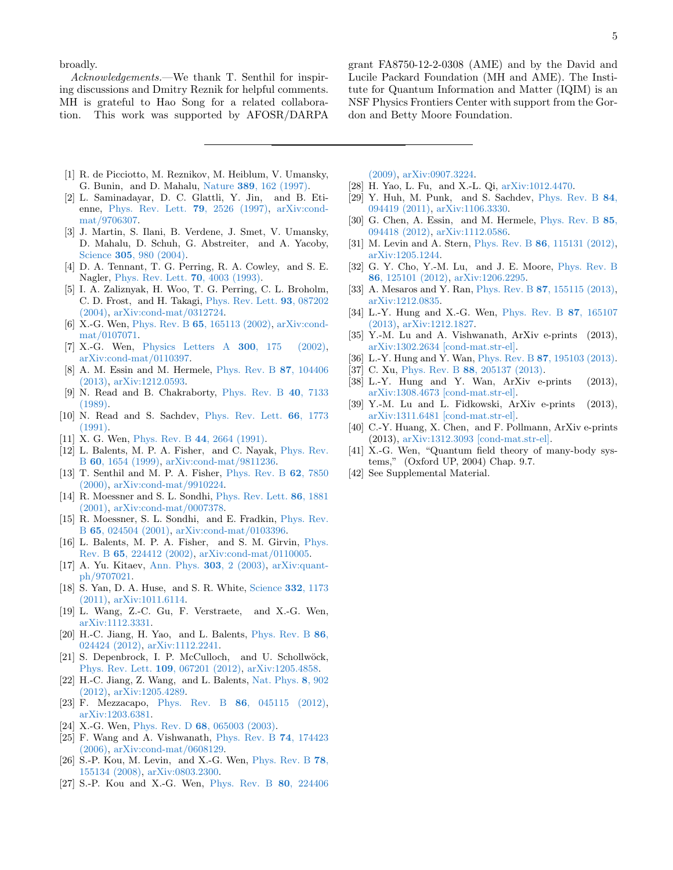broadly.

Acknowledgements.—We thank T. Senthil for inspiring discussions and Dmitry Reznik for helpful comments. MH is grateful to Hao Song for a related collaboration. This work was supported by AFOSR/DARPA

grant FA8750-12-2-0308 (AME) and by the David and Lucile Packard Foundation (MH and AME). The Institute for Quantum Information and Matter (IQIM) is an NSF Physics Frontiers Center with support from the Gordon and Betty Moore Foundation.

- <span id="page-4-0"></span>[1] R. de Picciotto, M. Reznikov, M. Heiblum, V. Umansky, G. Bunin, and D. Mahalu, Nature 389[, 162 \(1997\).](http://dx.doi.org/10.1038/38241)
- [2] L. Saminadayar, D. C. Glattli, Y. Jin, and B. Etienne, [Phys. Rev. Lett.](http://dx.doi.org/10.1103/PhysRevLett.79.2526) 79, 2526 (1997), [arXiv:cond](http://arxiv.org/abs/cond-mat/9706307)[mat/9706307.](http://arxiv.org/abs/cond-mat/9706307)
- <span id="page-4-1"></span>[3] J. Martin, S. Ilani, B. Verdene, J. Smet, V. Umansky, D. Mahalu, D. Schuh, G. Abstreiter, and A. Yacoby, Science 305[, 980 \(2004\).](http://dx.doi.org/10.1126/science.1099950)
- <span id="page-4-2"></span>[4] D. A. Tennant, T. G. Perring, R. A. Cowley, and S. E. Nagler, [Phys. Rev. Lett.](http://dx.doi.org/10.1103/PhysRevLett.70.4003) 70, 4003 (1993).
- <span id="page-4-3"></span>[5] I. A. Zaliznyak, H. Woo, T. G. Perring, C. L. Broholm, C. D. Frost, and H. Takagi, [Phys. Rev. Lett.](http://dx.doi.org/ 10.1103/PhysRevLett.93.087202) 93, 087202 [\(2004\),](http://dx.doi.org/ 10.1103/PhysRevLett.93.087202) [arXiv:cond-mat/0312724.](http://arxiv.org/abs/cond-mat/0312724)
- <span id="page-4-4"></span>[6] X.-G. Wen, Phys. Rev. B 65[, 165113 \(2002\),](http://dx.doi.org/10.1103/PhysRevB.65.165113) [arXiv:cond](http://arxiv.org/abs/cond-mat/0107071)[mat/0107071.](http://arxiv.org/abs/cond-mat/0107071)
- <span id="page-4-12"></span>[7] X.-G. Wen, [Physics Letters A](http://dx.doi.org/http://dx.doi.org/10.1016/S0375-9601(02)00808-3) 300, 175 (2002), [arXiv:cond-mat/0110397.](http://arxiv.org/abs/cond-mat/0110397)
- <span id="page-4-5"></span>[8] A. M. Essin and M. Hermele, [Phys. Rev. B](http://dx.doi.org/10.1103/PhysRevB.87.104406) 87, 104406 [\(2013\),](http://dx.doi.org/10.1103/PhysRevB.87.104406) [arXiv:1212.0593.](http://arxiv.org/abs/1212.0593)
- <span id="page-4-6"></span>[9] N. Read and B. Chakraborty, [Phys. Rev. B](http://dx.doi.org/10.1103/PhysRevB.40.7133) 40, 7133 [\(1989\).](http://dx.doi.org/10.1103/PhysRevB.40.7133)
- [10] N. Read and S. Sachdev, [Phys. Rev. Lett.](http://dx.doi.org/10.1103/PhysRevLett.66.1773) 66, 1773 [\(1991\).](http://dx.doi.org/10.1103/PhysRevLett.66.1773)
- [11] X. G. Wen, Phys. Rev. B 44[, 2664 \(1991\).](http://dx.doi.org/10.1103/PhysRevB.44.2664)
- [12] L. Balents, M. P. A. Fisher, and C. Nayak, [Phys. Rev.](http://dx.doi.org/10.1103/PhysRevB.60.1654) B 60[, 1654 \(1999\),](http://dx.doi.org/10.1103/PhysRevB.60.1654) [arXiv:cond-mat/9811236.](http://arxiv.org/abs/cond-mat/9811236)
- [13] T. Senthil and M. P. A. Fisher, [Phys. Rev. B](http://dx.doi.org/10.1103/PhysRevB.62.7850) 62, 7850 [\(2000\),](http://dx.doi.org/10.1103/PhysRevB.62.7850) [arXiv:cond-mat/9910224.](http://arxiv.org/abs/cond-mat/9910224)
- [14] R. Moessner and S. L. Sondhi, [Phys. Rev. Lett.](http://dx.doi.org/10.1103/PhysRevLett.86.1881) 86, 1881 [\(2001\),](http://dx.doi.org/10.1103/PhysRevLett.86.1881) [arXiv:cond-mat/0007378.](http://arxiv.org/abs/cond-mat/0007378)
- [15] R. Moessner, S. L. Sondhi, and E. Fradkin, [Phys. Rev.](http://dx.doi.org/10.1103/PhysRevB.65.024504) B 65[, 024504 \(2001\),](http://dx.doi.org/10.1103/PhysRevB.65.024504) [arXiv:cond-mat/0103396.](http://arxiv.org/abs/cond-mat/0103396)
- [16] L. Balents, M. P. A. Fisher, and S. M. Girvin, [Phys.](http://dx.doi.org/10.1103/PhysRevB.65.224412) Rev. B 65[, 224412 \(2002\),](http://dx.doi.org/10.1103/PhysRevB.65.224412) [arXiv:cond-mat/0110005.](http://arxiv.org/abs/cond-mat/0110005)
- <span id="page-4-7"></span>[17] A. Yu. Kitaev, [Ann. Phys.](http://dx.doi.org/10.1016/S0003-4916(02)00018-0) 303, 2 (2003), [arXiv:quant](http://arxiv.org/abs/quant-ph/9707021)[ph/9707021.](http://arxiv.org/abs/quant-ph/9707021)
- <span id="page-4-8"></span>[18] S. Yan, D. A. Huse, and S. R. White, [Science](http://dx.doi.org/10.1126/science.1201080) 332, 1173 [\(2011\),](http://dx.doi.org/10.1126/science.1201080) [arXiv:1011.6114.](http://arxiv.org/abs/1011.6114)
- [19] L. Wang, Z.-C. Gu, F. Verstraete, and X.-G. Wen, [arXiv:1112.3331.](http://arxiv.org/abs/1112.3331)
- [20] H.-C. Jiang, H. Yao, and L. Balents, [Phys. Rev. B](http://dx.doi.org/10.1103/PhysRevB.86.024424) 86, [024424 \(2012\),](http://dx.doi.org/10.1103/PhysRevB.86.024424) [arXiv:1112.2241.](http://arxiv.org/abs/1112.2241)
- [21] S. Depenbrock, I. P. McCulloch, and U. Schollwöck, [Phys. Rev. Lett.](http://dx.doi.org/10.1103/PhysRevLett.109.067201) 109, 067201 (2012), [arXiv:1205.4858.](http://arxiv.org/abs/1205.4858)
- [22] H.-C. Jiang, Z. Wang, and L. Balents, [Nat. Phys.](http://dx.doi.org/10.1038/nphys2465) 8, 902 [\(2012\),](http://dx.doi.org/10.1038/nphys2465) [arXiv:1205.4289.](http://arxiv.org/abs/1205.4289)
- <span id="page-4-9"></span>[23] F. Mezzacapo, Phys. Rev. B **86**[, 045115 \(2012\),](http://dx.doi.org/10.1103/PhysRevB.86.045115) [arXiv:1203.6381.](http://arxiv.org/abs/1203.6381)
- <span id="page-4-10"></span>[24] X.-G. Wen, Phys. Rev. D 68[, 065003 \(2003\).](http://dx.doi.org/10.1103/PhysRevD.68.065003)
- [25] F. Wang and A. Vishwanath, [Phys. Rev. B](http://dx.doi.org/10.1103/PhysRevB.74.174423) 74, 174423 [\(2006\),](http://dx.doi.org/10.1103/PhysRevB.74.174423) [arXiv:cond-mat/0608129.](http://arxiv.org/abs/cond-mat/0608129)
- [26] S.-P. Kou, M. Levin, and X.-G. Wen, [Phys. Rev. B](http://dx.doi.org/10.1103/PhysRevB.78.155134) 78, [155134 \(2008\),](http://dx.doi.org/10.1103/PhysRevB.78.155134) [arXiv:0803.2300.](http://arxiv.org/abs/0803.2300)
- [27] S.-P. Kou and X.-G. Wen, [Phys. Rev. B](http://dx.doi.org/10.1103/PhysRevB.80.224406) 80, 224406

[\(2009\),](http://dx.doi.org/10.1103/PhysRevB.80.224406) [arXiv:0907.3224.](http://arxiv.org/abs/0907.3224)

- [28] H. Yao, L. Fu, and X.-L. Qi, [arXiv:1012.4470.](http://arxiv.org/abs/1012.4470)
- [29] Y. Huh, M. Punk, and S. Sachdev, [Phys. Rev. B](http://dx.doi.org/10.1103/PhysRevB.84.094419) 84, [094419 \(2011\),](http://dx.doi.org/10.1103/PhysRevB.84.094419) [arXiv:1106.3330.](http://arxiv.org/abs/1106.3330)
- <span id="page-4-15"></span>[30] G. Chen, A. Essin, and M. Hermele, [Phys. Rev. B](http://dx.doi.org/10.1103/PhysRevB.85.094418) 85, [094418 \(2012\),](http://dx.doi.org/10.1103/PhysRevB.85.094418) [arXiv:1112.0586.](http://arxiv.org/abs/1112.0586)
- [31] M. Levin and A. Stern, Phys. Rev. B 86[, 115131 \(2012\),](http://dx.doi.org/10.1103/PhysRevB.86.115131) [arXiv:1205.1244.](http://arxiv.org/abs/1205.1244)
- [32] G. Y. Cho, Y.-M. Lu, and J. E. Moore, [Phys. Rev. B](http://dx.doi.org/10.1103/PhysRevB.86.125101) 86[, 125101 \(2012\),](http://dx.doi.org/10.1103/PhysRevB.86.125101) [arXiv:1206.2295.](http://arxiv.org/abs/1206.2295)
- [33] A. Mesaros and Y. Ran, Phys. Rev. B 87[, 155115 \(2013\),](http://dx.doi.org/10.1103/PhysRevB.87.155115) [arXiv:1212.0835.](http://arxiv.org/abs/1212.0835)
- [34] L.-Y. Hung and X.-G. Wen, [Phys. Rev. B](http://dx.doi.org/10.1103/PhysRevB.87.165107) 87, 165107 [\(2013\),](http://dx.doi.org/10.1103/PhysRevB.87.165107) [arXiv:1212.1827.](http://arxiv.org/abs/1212.1827)
- [35] Y.-M. Lu and A. Vishwanath, ArXiv e-prints (2013), [arXiv:1302.2634 \[cond-mat.str-el\].](http://arxiv.org/abs/1302.2634)
- [36] L.-Y. Hung and Y. Wan, Phys. Rev. B **87**[, 195103 \(2013\).](http://dx.doi.org/10.1103/PhysRevB.87.195103)
- [37] C. Xu, Phys. Rev. B 88[, 205137 \(2013\).](http://dx.doi.org/10.1103/PhysRevB.88.205137)
- [38] L.-Y. Hung and Y. Wan, ArXiv e-prints (2013), [arXiv:1308.4673 \[cond-mat.str-el\].](http://arxiv.org/abs/1308.4673)
- [39] Y.-M. Lu and L. Fidkowski, ArXiv e-prints (2013), [arXiv:1311.6481 \[cond-mat.str-el\].](http://arxiv.org/abs/1311.6481)
- <span id="page-4-11"></span>[40] C.-Y. Huang, X. Chen, and F. Pollmann, ArXiv e-prints (2013), [arXiv:1312.3093 \[cond-mat.str-el\].](http://arxiv.org/abs/1312.3093)
- <span id="page-4-13"></span>[41] X.-G. Wen, "Quantum field theory of many-body systems," (Oxford UP, 2004) Chap. 9.7.
- <span id="page-4-14"></span>[42] See Supplemental Material.